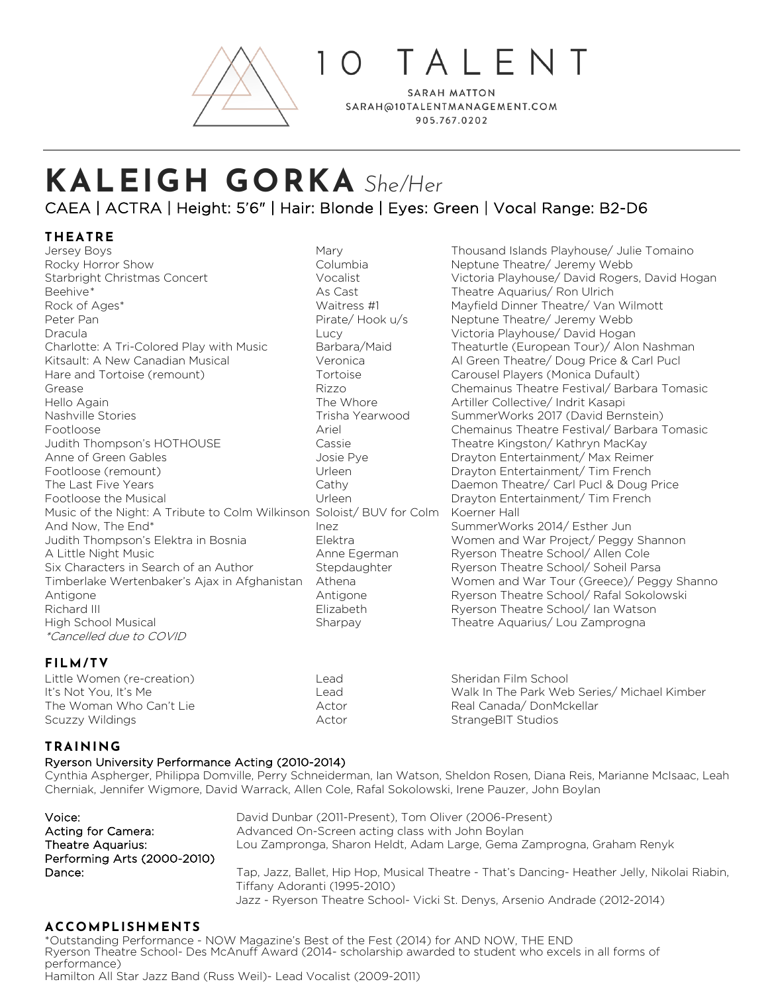

O TAIFNT

**SARAH MATTON** SARAH@10TALENTMANAGEMENT.COM 905.767.0202

# **KALEIGH GORKA** *She/Her* CAEA | ACTRA | Height: 5'6" | Hair: Blonde | Eyes: Green | Vocal Range: B2-D6

# **THEATRE**

Rocky Horror Show **Neptune Theatre/ Jeremy Webb** Columbia **Neptune Theatre/ Jeremy Webb** Beehive\* Theatre Aquarius/ Ron Ulrich Associates Associates Associates Advantagement Associates Advantagement A Rock of Ages\* The Mayfield Dinner Theatre/ Van Wilmott Waitress #1 Mayfield Dinner Theatre/ Van Wilmott Peter Pan **Pirate/ Hook u/s Neptune Theatre/ Jeremy Webb** Pirate/ Hook u/s Neptune Theatre/ Jeremy Webb Dracula Lucy Victoria Playhouse/ David Hogan Kitsault: A New Canadian Musical **Veronica** Al Green Theatre/ Doug Price & Carl Pucl Hare and Tortoise (remount) Tortoise Carousel Players (Monica Dufault) Hello Again **The Whore** Artiller Collective/ Indrit Kasapi **Artiller Collective**/ Indrit Kasapi Nashville Stories Trisha Yearwood SummerWorks 2017 (David Bernstein) Judith Thompson's HOTHOUSE Cassie Theatre Kingston/ Kathryn MacKay Anne of Green Gables **State Anne Container Anne Container Container** Drayton Entertainment/ Max Reimer Footloose (remount) Urleen Drayton Entertainment/ Tim French The Last Five Years Cathy Daemon Theatre/ Carl Pucl & Doug Price Footloose the Musical Urleen Drayton Entertainment/ Tim French Music of the Night: A Tribute to Colm Wilkinson Soloist/ BUV for Colm Koerner Hall And Now, The End\* The SummerWorks 2014/ Esther Jun Judith Thompson's Elektra in Bosnia Elektra Women and War Project/ Peggy Shannon A Little Night Music Anne Egerman Ryerson Theatre School/ Allen Cole Six Characters in Search of an Author Stepdaughter Ryerson Theatre School/ Soheil Parsa Antigone **Antigone** Antigone Ryerson Theatre School/ Rafal Sokolowski Richard III **Elizabeth Ryerson Theatre School**/ Ian Watson High School Musical Sharpay Theatre Aquarius/ Lou Zamprogna \*Cancelled due to COVID

Mary Mary Thousand Islands Playhouse/ Julie Tomaino Starbright Christmas Concert Vocalist Victoria Playhouse/ David Rogers, David Hogan Charlotte: A Tri-Colored Play with Music Barbara/Maid Theaturtle (European Tour)/ Alon Nashman Grease **Rights Chemainus Theatre Festival/ Barbara Tomasic** Chemainus Theatre Festival/ Barbara Tomasic Footloose **Ariel Chemainus Theatre Festival/ Barbara Tomasic** Chemainus Theatre Festival/ Barbara Tomasic Timberlake Wertenbaker's Ajax in Afghanistan Athena Women and War Tour (Greece)/ Peggy Shanno

## **FILM/TV**

| Little Women (re-creation) | _ead  | Sheridan Film School                        |
|----------------------------|-------|---------------------------------------------|
| It's Not You. It's Me      | _ead  | Walk In The Park Web Series/ Michael Kimber |
| The Woman Who Can't Lie    | Actor | Real Canada/DonMckellar                     |
| Scuzzy Wildings            | Actor | StrangeBIT Studios                          |

## **TRAINING**

#### Ryerson University Performance Acting (2010-2014)

Cynthia Aspherger, Philippa Domville, Perry Schneiderman, Ian Watson, Sheldon Rosen, Diana Reis, Marianne McIsaac, Leah Cherniak, Jennifer Wigmore, David Warrack, Allen Cole, Rafal Sokolowski, Irene Pauzer, John Boylan

| Voice:                      | David Dunbar (2011-Present), Tom Oliver (2006-Present)                                       |
|-----------------------------|----------------------------------------------------------------------------------------------|
| Acting for Camera:          | Advanced On-Screen acting class with John Boylan                                             |
| Theatre Aquarius:           | Lou Zampronga, Sharon Heldt, Adam Large, Gema Zamprogna, Graham Renyk                        |
| Performing Arts (2000-2010) |                                                                                              |
| Dance:                      | Tap, Jazz, Ballet, Hip Hop, Musical Theatre - That's Dancing- Heather Jelly, Nikolai Riabin, |
|                             | Tiffany Adoranti (1995-2010)                                                                 |
|                             |                                                                                              |

#### Jazz - Ryerson Theatre School- Vicki St. Denys, Arsenio Andrade (2012-2014)

### **ACCOMPLISHMENTS**

\*Outstanding Performance - NOW Magazine's Best of the Fest (2014) for AND NOW, THE END Ryerson Theatre School- Des McAnuff Award (2014- scholarship awarded to student who excels in all forms of performance) Hamilton All Star Jazz Band (Russ Weil)- Lead Vocalist (2009-2011)